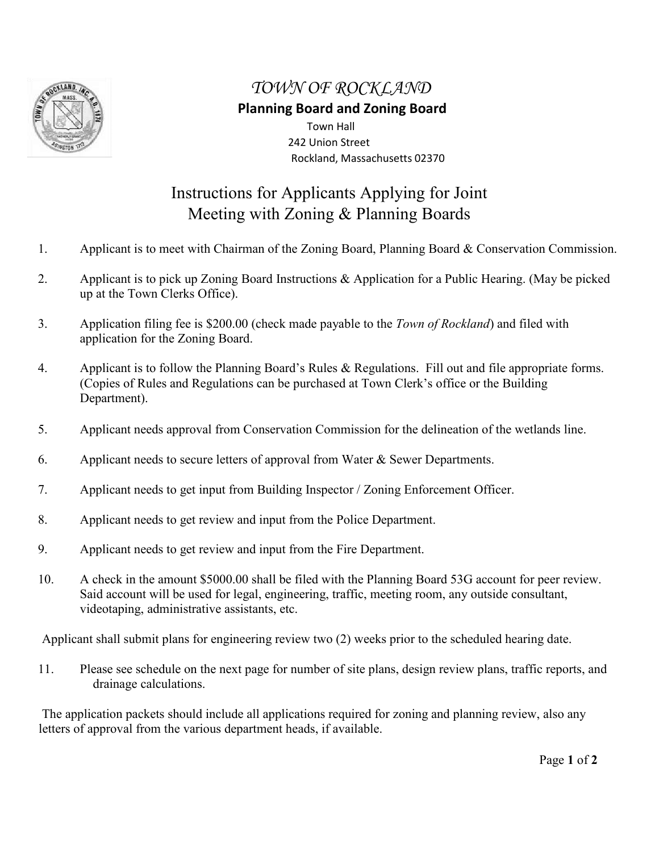

## *TOWN OF ROCKLAND*

## **Planning Board and Zoning Board**

 Town Hall 242 Union Street Rockland, Massachusetts 02370

## Instructions for Applicants Applying for Joint Meeting with Zoning & Planning Boards

- 1. Applicant is to meet with Chairman of the Zoning Board, Planning Board & Conservation Commission.
- 2. Applicant is to pick up Zoning Board Instructions & Application for a Public Hearing. (May be picked up at the Town Clerks Office).
- 3. Application filing fee is \$200.00 (check made payable to the *Town of Rockland*) and filed with application for the Zoning Board.
- 4. Applicant is to follow the Planning Board's Rules & Regulations. Fill out and file appropriate forms. (Copies of Rules and Regulations can be purchased at Town Clerk's office or the Building Department).
- 5. Applicant needs approval from Conservation Commission for the delineation of the wetlands line.
- 6. Applicant needs to secure letters of approval from Water  $\&$  Sewer Departments.
- 7. Applicant needs to get input from Building Inspector / Zoning Enforcement Officer.
- 8. Applicant needs to get review and input from the Police Department.
- 9. Applicant needs to get review and input from the Fire Department.
- 10. A check in the amount \$5000.00 shall be filed with the Planning Board 53G account for peer review. Said account will be used for legal, engineering, traffic, meeting room, any outside consultant, videotaping, administrative assistants, etc.

Applicant shall submit plans for engineering review two (2) weeks prior to the scheduled hearing date.

11. Please see schedule on the next page for number of site plans, design review plans, traffic reports, and drainage calculations.

The application packets should include all applications required for zoning and planning review, also any letters of approval from the various department heads, if available.